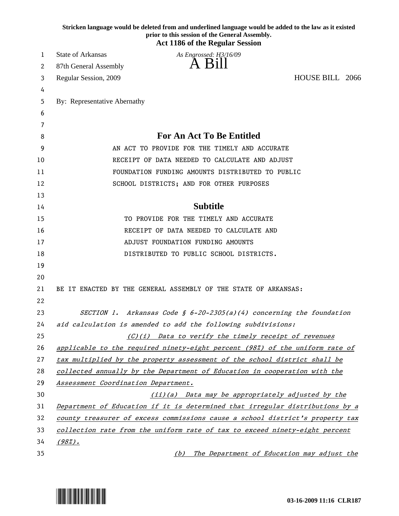|    | Stricken language would be deleted from and underlined language would be added to the law as it existed<br>prior to this session of the General Assembly. |
|----|-----------------------------------------------------------------------------------------------------------------------------------------------------------|
|    | <b>Act 1186 of the Regular Session</b>                                                                                                                    |
| 1  | <b>State of Arkansas</b><br>As Engrossed: H3/16/09                                                                                                        |
| 2  | A Bill<br>87th General Assembly                                                                                                                           |
| 3  | HOUSE BILL 2066<br>Regular Session, 2009                                                                                                                  |
| 4  |                                                                                                                                                           |
| 5  | By: Representative Abernathy                                                                                                                              |
| 6  |                                                                                                                                                           |
| 7  |                                                                                                                                                           |
| 8  | <b>For An Act To Be Entitled</b>                                                                                                                          |
| 9  | AN ACT TO PROVIDE FOR THE TIMELY AND ACCURATE                                                                                                             |
| 10 | RECEIPT OF DATA NEEDED TO CALCULATE AND ADJUST                                                                                                            |
| 11 | FOUNDATION FUNDING AMOUNTS DISTRIBUTED TO PUBLIC                                                                                                          |
| 12 | SCHOOL DISTRICTS; AND FOR OTHER PURPOSES                                                                                                                  |
| 13 |                                                                                                                                                           |
| 14 | <b>Subtitle</b>                                                                                                                                           |
| 15 | TO PROVIDE FOR THE TIMELY AND ACCURATE                                                                                                                    |
| 16 | RECEIPT OF DATA NEEDED TO CALCULATE AND                                                                                                                   |
| 17 | ADJUST FOUNDATION FUNDING AMOUNTS                                                                                                                         |
| 18 | DISTRIBUTED TO PUBLIC SCHOOL DISTRICTS.                                                                                                                   |
| 19 |                                                                                                                                                           |
| 20 |                                                                                                                                                           |
| 21 | BE IT ENACTED BY THE GENERAL ASSEMBLY OF THE STATE OF ARKANSAS:                                                                                           |
| 22 |                                                                                                                                                           |
| 23 | SECTION 1. Arkansas Code § 6-20-2305(a)(4) concerning the foundation                                                                                      |
| 24 | aid calculation is amended to add the following subdivisions:                                                                                             |
| 25 | (C)(i) Data to verify the timely receipt of revenues                                                                                                      |
| 26 | applicable to the required ninety-eight percent (98%) of the uniform rate of                                                                              |
| 27 | tax multiplied by the property assessment of the school district shall be                                                                                 |
| 28 | collected annually by the Department of Education in cooperation with the                                                                                 |
| 29 | Assessment Coordination Department.                                                                                                                       |
| 30 | (ii)(a) Data may be appropriately adjusted by the                                                                                                         |
| 31 | Department of Education if it is determined that irregular distributions by a                                                                             |
| 32 | county treasurer of excess commissions cause a school district's property tax                                                                             |
| 33 | collection rate from the uniform rate of tax to exceed ninety-eight percent                                                                               |
| 34 | $(98\%)$ .                                                                                                                                                |
| 35 | The Department of Education may adjust the<br>(b)                                                                                                         |